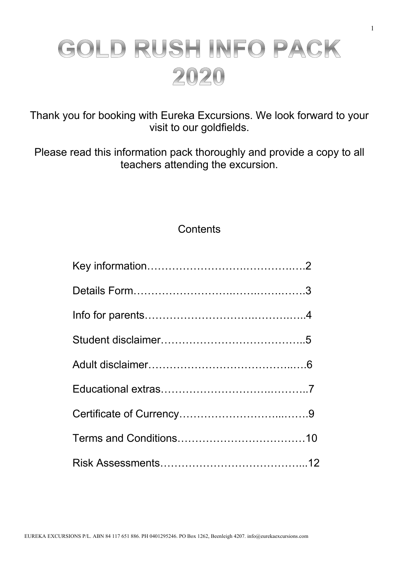# GOLD RUSH INFO PACK 2020

Thank you for booking with Eureka Excursions. We look forward to your visit to our goldfields.

Please read this information pack thoroughly and provide a copy to all teachers attending the excursion.

# **Contents**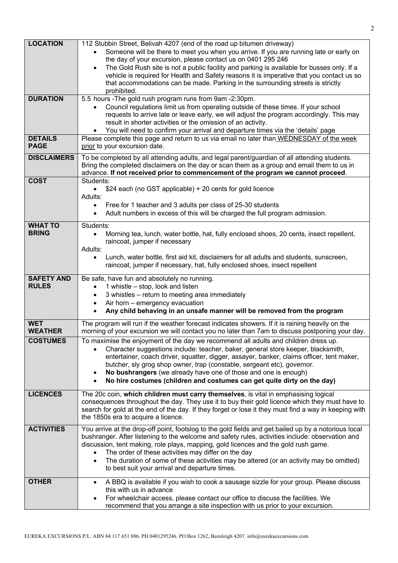| <b>LOCATION</b>    | 112 Stubbin Street, Belivah 4207 (end of the road up bitumen driveway)                                                                                                       |
|--------------------|------------------------------------------------------------------------------------------------------------------------------------------------------------------------------|
|                    | Someone will be there to meet you when you arrive. If you are running late or early on                                                                                       |
|                    | the day of your excursion, please contact us on 0401 295 246                                                                                                                 |
|                    | The Gold Rush site is not a public facility and parking is available for busses only. If a<br>$\bullet$                                                                      |
|                    | vehicle is required for Health and Safety reasons it is imperative that you contact us so                                                                                    |
|                    | that accommodations can be made. Parking in the surrounding streets is strictly                                                                                              |
| <b>DURATION</b>    | prohibited.                                                                                                                                                                  |
|                    | 5.5 hours - The gold rush program runs from 9am - 2:30pm.<br>Council regulations limit us from operating outside of these times. If your school                              |
|                    | requests to arrive late or leave early, we will adjust the program accordingly. This may                                                                                     |
|                    | result in shorter activities or the omission of an activity.                                                                                                                 |
|                    | You will need to confirm your arrival and departure times via the 'details' page                                                                                             |
| <b>DETAILS</b>     | Please complete this page and return to us via email no later than WEDNESDAY of the week                                                                                     |
| <b>PAGE</b>        | prior to your excursion date.                                                                                                                                                |
| <b>DISCLAIMERS</b> | To be completed by all attending adults, and legal parent/guardian of all attending students.                                                                                |
|                    | Bring the completed disclaimers on the day or scan them as a group and email them to us in                                                                                   |
|                    | advance. If not received prior to commencement of the program we cannot proceed.                                                                                             |
| <b>COST</b>        | Students:                                                                                                                                                                    |
|                    | \$24 each (no GST applicable) + 20 cents for gold licence<br>$\bullet$                                                                                                       |
|                    | Adults:                                                                                                                                                                      |
|                    | Free for 1 teacher and 3 adults per class of 25-30 students<br>$\bullet$                                                                                                     |
|                    | Adult numbers in excess of this will be charged the full program admission.<br>$\bullet$                                                                                     |
| <b>WHAT TO</b>     | Students:                                                                                                                                                                    |
| <b>BRING</b>       | Morning tea, lunch, water bottle, hat, fully enclosed shoes, 20 cents, insect repellent,<br>$\bullet$                                                                        |
|                    | raincoat, jumper if necessary                                                                                                                                                |
|                    | Adults:                                                                                                                                                                      |
|                    | Lunch, water bottle, first aid kit, disclaimers for all adults and students, sunscreen,<br>$\bullet$                                                                         |
|                    | raincoat, jumper if necessary, hat, fully enclosed shoes, insect repellent                                                                                                   |
| <b>SAFETY AND</b>  |                                                                                                                                                                              |
| <b>RULES</b>       | Be safe, have fun and absolutely no running.<br>1 whistle - stop, look and listen                                                                                            |
|                    | 3 whistles - return to meeting area immediately                                                                                                                              |
|                    | Air horn - emergency evacuation<br>$\bullet$                                                                                                                                 |
|                    | Any child behaving in an unsafe manner will be removed from the program                                                                                                      |
|                    |                                                                                                                                                                              |
| <b>WET</b>         | The program will run if the weather forecast indicates showers. If it is raining heavily on the                                                                              |
| <b>WEATHER</b>     | morning of your excursion we will contact you no later than 7am to discuss postponing your day.                                                                              |
| <b>COSTUMES</b>    | To maximise the enjoyment of the day we recommend all adults and children dress up.                                                                                          |
|                    | Character suggestions include: teacher, baker, general store keeper, blacksmith,                                                                                             |
|                    | entertainer, coach driver, squatter, digger, assayer, banker, claims officer, tent maker,<br>butcher, sly grog shop owner, trap (constable, sergeant etc), governor.         |
|                    | No bushrangers (we already have one of those and one is enough)<br>٠                                                                                                         |
|                    | No hire costumes (children and costumes can get quite dirty on the day)                                                                                                      |
|                    |                                                                                                                                                                              |
| <b>LICENCES</b>    | The 20c coin, which children must carry themselves, is vital in emphasising logical                                                                                          |
|                    | consequences throughout the day. They use it to buy their gold licence which they must have to                                                                               |
|                    | search for gold at the end of the day. If they forget or lose it they must find a way in keeping with                                                                        |
|                    | the 1850s era to acquire a licence.                                                                                                                                          |
| <b>ACTIVITIES</b>  | You arrive at the drop-off point, footslog to the gold fields and get bailed up by a notorious local                                                                         |
|                    | bushranger. After listening to the welcome and safety rules, activities include: observation and                                                                             |
|                    | discussion, tent making, role plays, mapping, gold licences and the gold rush game.                                                                                          |
|                    | The order of these activities may differ on the day<br>$\bullet$                                                                                                             |
|                    |                                                                                                                                                                              |
|                    | The duration of some of these activities may be altered (or an activity may be omitted)<br>$\bullet$                                                                         |
|                    | to best suit your arrival and departure times.                                                                                                                               |
| <b>OTHER</b>       | A BBQ is available if you wish to cook a sausage sizzle for your group. Please discuss<br>$\bullet$                                                                          |
|                    | this with us in advance                                                                                                                                                      |
|                    | For wheelchair access, please contact our office to discuss the facilities. We<br>$\bullet$<br>recommend that you arrange a site inspection with us prior to your excursion. |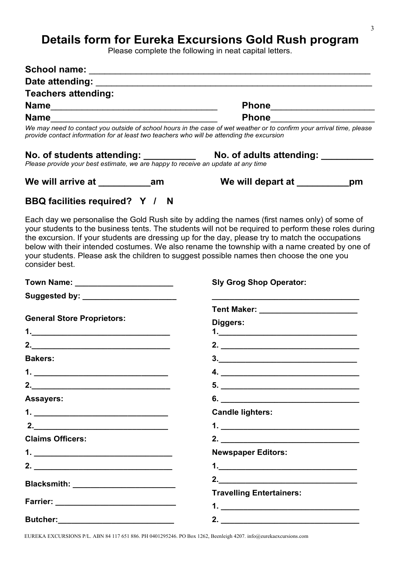# **Details form for Eureka Excursions Gold Rush program**

Please complete the following in neat capital letters.

| <b>Teachers attending:</b>                                                                |                                                                                                                                                                                                                                                                                                                                                                                                                                                                                                       |    |
|-------------------------------------------------------------------------------------------|-------------------------------------------------------------------------------------------------------------------------------------------------------------------------------------------------------------------------------------------------------------------------------------------------------------------------------------------------------------------------------------------------------------------------------------------------------------------------------------------------------|----|
|                                                                                           | Phone________________________                                                                                                                                                                                                                                                                                                                                                                                                                                                                         |    |
| Name                                                                                      | Phone 2008 2012 2023 2024 2025 2026 2027 2028 2029 2021 2022 2023 2024 2025 2026 2027 2028 2027 2028 2029 2021                                                                                                                                                                                                                                                                                                                                                                                        |    |
| provide contact information for at least two teachers who will be attending the excursion | We may need to contact you outside of school hours in the case of wet weather or to confirm your arrival time, please                                                                                                                                                                                                                                                                                                                                                                                 |    |
|                                                                                           |                                                                                                                                                                                                                                                                                                                                                                                                                                                                                                       |    |
|                                                                                           | We will depart at _________                                                                                                                                                                                                                                                                                                                                                                                                                                                                           | pm |
| BBQ facilities required? Y / N                                                            |                                                                                                                                                                                                                                                                                                                                                                                                                                                                                                       |    |
| consider best.                                                                            | Each day we personalise the Gold Rush site by adding the names (first names only) of some of<br>your students to the business tents. The students will not be required to perform these roles during<br>the excursion. If your students are dressing up for the day, please try to match the occupations<br>below with their intended costumes. We also rename the township with a name created by one of<br>your students. Please ask the children to suggest possible names then choose the one you |    |
| Town Name: ________________________                                                       | <b>Sly Grog Shop Operator:</b>                                                                                                                                                                                                                                                                                                                                                                                                                                                                        |    |
| Suggested by: _______________________                                                     |                                                                                                                                                                                                                                                                                                                                                                                                                                                                                                       |    |
|                                                                                           | Tent Maker: ________________________                                                                                                                                                                                                                                                                                                                                                                                                                                                                  |    |
| <b>General Store Proprietors:</b>                                                         | Diggers:                                                                                                                                                                                                                                                                                                                                                                                                                                                                                              |    |
|                                                                                           |                                                                                                                                                                                                                                                                                                                                                                                                                                                                                                       |    |
| 2. $\qquad \qquad$                                                                        | 2. $\qquad \qquad$                                                                                                                                                                                                                                                                                                                                                                                                                                                                                    |    |
| <b>Bakers:</b>                                                                            | $\overline{\mathbf{3.}}$                                                                                                                                                                                                                                                                                                                                                                                                                                                                              |    |
|                                                                                           | 4. $\qquad \qquad$                                                                                                                                                                                                                                                                                                                                                                                                                                                                                    |    |
| 2.                                                                                        |                                                                                                                                                                                                                                                                                                                                                                                                                                                                                                       |    |
| <b>Assayers:</b>                                                                          | 6.                                                                                                                                                                                                                                                                                                                                                                                                                                                                                                    |    |
|                                                                                           | <b>Candle lighters:</b>                                                                                                                                                                                                                                                                                                                                                                                                                                                                               |    |
| 2. $\qquad \qquad$                                                                        |                                                                                                                                                                                                                                                                                                                                                                                                                                                                                                       |    |
| <b>Claims Officers:</b>                                                                   | 2. $\qquad \qquad$                                                                                                                                                                                                                                                                                                                                                                                                                                                                                    |    |
|                                                                                           | <b>Newspaper Editors:</b>                                                                                                                                                                                                                                                                                                                                                                                                                                                                             |    |
|                                                                                           |                                                                                                                                                                                                                                                                                                                                                                                                                                                                                                       |    |
|                                                                                           |                                                                                                                                                                                                                                                                                                                                                                                                                                                                                                       |    |
| Blacksmith: _________________________                                                     | <b>Travelling Entertainers:</b>                                                                                                                                                                                                                                                                                                                                                                                                                                                                       |    |
|                                                                                           | <u>1. ___________________________________</u>                                                                                                                                                                                                                                                                                                                                                                                                                                                         |    |
| <b>Butcher:</b><br><u> 1989 - Johann Barbara, martin da kasar Amerika III.</u>            | 2.<br><u> 1989 - Johann Barn, mars eta bainar eta baina eta baina eta baina eta baina eta baina eta baina eta baina e</u>                                                                                                                                                                                                                                                                                                                                                                             |    |

EUREKA EXCURSIONS P/L. ABN 84 117 651 886. PH 0401295246. PO Box 1262, Beenleigh 4207. info@eurekaexcursions.com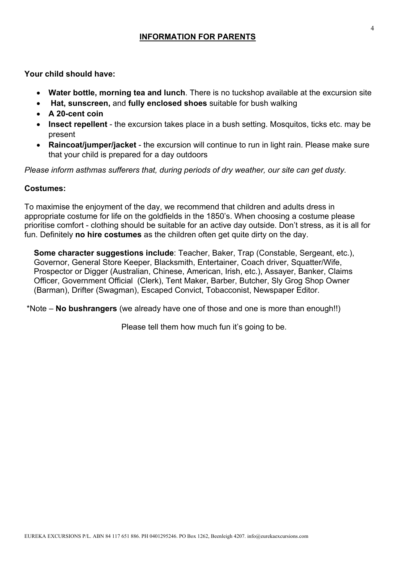# **INFORMATION FOR PARENTS**

**Your child should have:** 

- **Water bottle, morning tea and lunch**. There is no tuckshop available at the excursion site
- **Hat, sunscreen,** and **fully enclosed shoes** suitable for bush walking
- **A 20-cent coin**
- **Insect repellent** the excursion takes place in a bush setting. Mosquitos, ticks etc. may be present
- **Raincoat/jumper/jacket** the excursion will continue to run in light rain. Please make sure that your child is prepared for a day outdoors

*Please inform asthmas sufferers that, during periods of dry weather, our site can get dusty.*

# **Costumes:**

To maximise the enjoyment of the day, we recommend that children and adults dress in appropriate costume for life on the goldfields in the 1850's. When choosing a costume please prioritise comfort - clothing should be suitable for an active day outside. Don't stress, as it is all for fun. Definitely **no hire costumes** as the children often get quite dirty on the day.

**Some character suggestions include**: Teacher, Baker, Trap (Constable, Sergeant, etc.), Governor, General Store Keeper, Blacksmith, Entertainer, Coach driver, Squatter/Wife, Prospector or Digger (Australian, Chinese, American, Irish, etc.), Assayer, Banker, Claims Officer, Government Official (Clerk), Tent Maker, Barber, Butcher, Sly Grog Shop Owner (Barman), Drifter (Swagman), Escaped Convict, Tobacconist, Newspaper Editor.

\*Note – **No bushrangers** (we already have one of those and one is more than enough!!)

Please tell them how much fun it's going to be.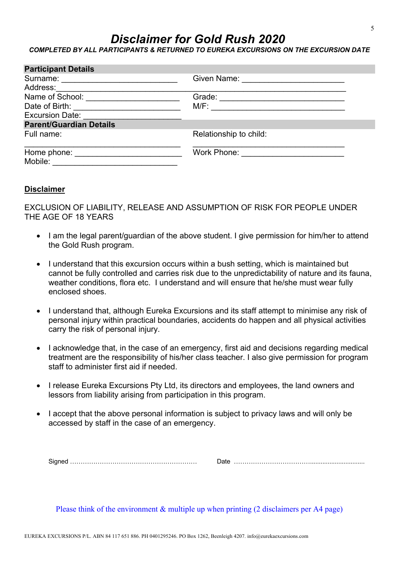# *Disclaimer for Gold Rush 2020*

*COMPLETED BY ALL PARTICIPANTS & RETURNED TO EUREKA EXCURSIONS ON THE EXCURSION DATE*

| <b>Participant Details</b>                     |                                       |  |
|------------------------------------------------|---------------------------------------|--|
| Surname: <u>_______________________</u>        | Given Name: <u>__________________</u> |  |
| Address:                                       |                                       |  |
| Name of School: <u>with a series of second</u> | Grade:                                |  |
| Date of Birth: Note that the state of Birth:   | M/F:                                  |  |
| <b>Excursion Date:</b>                         |                                       |  |
| <b>Parent/Guardian Details</b>                 |                                       |  |
| Full name:                                     | Relationship to child:                |  |
| Home phone:                                    | Work Phone:                           |  |
| Mobile:                                        |                                       |  |

# **Disclaimer**

EXCLUSION OF LIABILITY, RELEASE AND ASSUMPTION OF RISK FOR PEOPLE UNDER THE AGE OF 18 YEARS

- I am the legal parent/guardian of the above student. I give permission for him/her to attend the Gold Rush program.
- I understand that this excursion occurs within a bush setting, which is maintained but cannot be fully controlled and carries risk due to the unpredictability of nature and its fauna, weather conditions, flora etc. I understand and will ensure that he/she must wear fully enclosed shoes.
- I understand that, although Eureka Excursions and its staff attempt to minimise any risk of personal injury within practical boundaries, accidents do happen and all physical activities carry the risk of personal injury.
- I acknowledge that, in the case of an emergency, first aid and decisions regarding medical treatment are the responsibility of his/her class teacher. I also give permission for program staff to administer first aid if needed.
- I release Eureka Excursions Pty Ltd, its directors and employees, the land owners and lessors from liability arising from participation in this program.
- I accept that the above personal information is subject to privacy laws and will only be accessed by staff in the case of an emergency.

Signed …………………………………………………… Date ………………………………...............................

Please think of the environment & multiple up when printing (2 disclaimers per A4 page)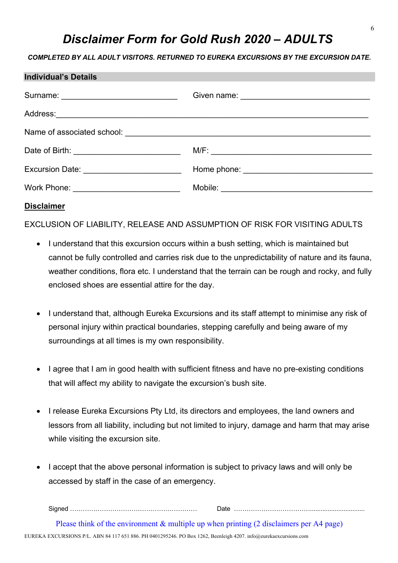# *Disclaimer Form for Gold Rush 2020 – ADULTS*

# *COMPLETED BY ALL ADULT VISITORS. RETURNED TO EUREKA EXCURSIONS BY THE EXCURSION DATE.*

| Individual's Details                      |                               |
|-------------------------------------------|-------------------------------|
|                                           |                               |
|                                           |                               |
|                                           |                               |
|                                           |                               |
| Excursion Date: ________________________  |                               |
| Work Phone: _____________________________ | Mobile: <u>Alexander Adam</u> |
|                                           |                               |

# **Disclaimer**

**Individual's Details**

EXCLUSION OF LIABILITY, RELEASE AND ASSUMPTION OF RISK FOR VISITING ADULTS

- I understand that this excursion occurs within a bush setting, which is maintained but cannot be fully controlled and carries risk due to the unpredictability of nature and its fauna, weather conditions, flora etc. I understand that the terrain can be rough and rocky, and fully enclosed shoes are essential attire for the day.
- I understand that, although Eureka Excursions and its staff attempt to minimise any risk of personal injury within practical boundaries, stepping carefully and being aware of my surroundings at all times is my own responsibility.
- I agree that I am in good health with sufficient fitness and have no pre-existing conditions that will affect my ability to navigate the excursion's bush site.
- I release Eureka Excursions Pty Ltd, its directors and employees, the land owners and lessors from all liability, including but not limited to injury, damage and harm that may arise while visiting the excursion site.
- I accept that the above personal information is subject to privacy laws and will only be accessed by staff in the case of an emergency.

Signed …………………………………………………… Date ………………………………...............................

EUREKA EXCURSIONS P/L. ABN 84 117 651 886. PH 0401295246. PO Box 1262, Beenleigh 4207. info@eurekaexcursions.com Please think of the environment & multiple up when printing (2 disclaimers per A4 page)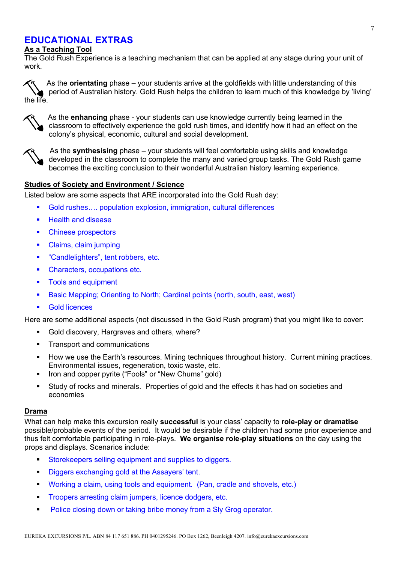# **EDUCATIONAL EXTRAS**

# **As a Teaching Tool**

The Gold Rush Experience is a teaching mechanism that can be applied at any stage during your unit of work.

As the **orientating** phase – your students arrive at the goldfields with little understanding of this period of Australian history. Gold Rush helps the children to learn much of this knowledge by 'living' the life.



As the **enhancing** phase - your students can use knowledge currently being learned in the classroom to effectively experience the gold rush times, and identify how it had an effect on the colony's physical, economic, cultural and social development.



 As the **synthesising** phase – your students will feel comfortable using skills and knowledge developed in the classroom to complete the many and varied group tasks. The Gold Rush game becomes the exciting conclusion to their wonderful Australian history learning experience.

# **Studies of Society and Environment / Science**

Listed below are some aspects that ARE incorporated into the Gold Rush day:

- Gold rushes.... population explosion, immigration, cultural differences
- Health and disease
- Chinese prospectors
- Claims, claim jumping
- "Candlelighters", tent robbers, etc.
- Characters, occupations etc.
- Tools and equipment
- Basic Mapping; Orienting to North; Cardinal points (north, south, east, west)
- § Gold licences

Here are some additional aspects (not discussed in the Gold Rush program) that you might like to cover:

- § Gold discovery, Hargraves and others, where?
- Transport and communications
- § How we use the Earth's resources. Mining techniques throughout history. Current mining practices. Environmental issues, regeneration, toxic waste, etc.
- § Iron and copper pyrite ("Fools" or "New Chums" gold)
- § Study of rocks and minerals. Properties of gold and the effects it has had on societies and economies

### **Drama**

What can help make this excursion really **successful** is your class' capacity to **role-play or dramatise** possible/probable events of the period. It would be desirable if the children had some prior experience and thus felt comfortable participating in role-plays. **We organise role-play situations** on the day using the props and displays. Scenarios include:

- Storekeepers selling equipment and supplies to diggers.
- Diggers exchanging gold at the Assayers' tent.
- § Working a claim, using tools and equipment. (Pan, cradle and shovels, etc.)
- **Troopers arresting claim jumpers, licence dodgers, etc.**
- **Police closing down or taking bribe money from a SIy Grog operator.**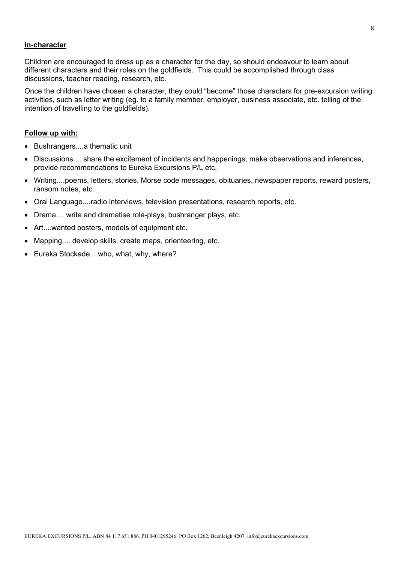### **In-character**

Children are encouraged to dress up as a character for the day, so should endeavour to learn about different characters and their roles on the goldfields. This could be accomplished through class discussions, teacher reading, research, etc.

Once the children have chosen a character, they could "become" those characters for pre-excursion writing activities, such as letter writing (eg. to a family member, employer, business associate, etc. telling of the intention of travelling to the goldfields).

### **Follow up with:**

- Bushrangers....a thematic unit
- Discussions.... share the excitement of incidents and happenings, make observations and inferences, provide recommendations to Eureka Excursions P/L etc.
- Writing....poems, letters, stories, Morse code messages, obituaries, newspaper reports, reward posters, ransom notes, etc.
- Oral Language....radio interviews, television presentations, research reports, etc.
- Drama.... write and dramatise role-plays, bushranger plays, etc.
- Art....wanted posters, models of equipment etc.
- Mapping.... develop skills, create maps, orienteering, etc.
- Eureka Stockade....who, what, why, where?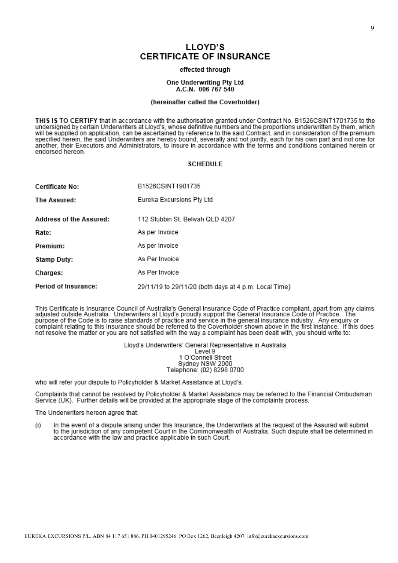# LLOYD'S **CERTIFICATE OF INSURANCE**

#### effected through

#### One Underwriting Pty Ltd A.C.N. 006 767 540

#### (hereinafter called the Coverholder)

THIS IS TO CERTIFY that in accordance with the authorisation granted under Contract No. B1526CSINT1701735 to the undersigned by certain Underwriters at Lloyd's, whose definitive numbers and the proportions underwritten by them, which will be supplied on application, can be ascertained by reference to the said Contract, and in consideration of the premium specified herein, the said Underwriters are hereby bound, severally and not jointly, each for his own part and not one for another, their Executors and Administrators, to insure in accordance with the terms and conditions contained herein or endorsed hereon.

#### **SCHEDULE**

| Certificate No:         | B1526CSINT1901735                                     |
|-------------------------|-------------------------------------------------------|
| The Assured:            | Eureka Excursions Pty Ltd                             |
| Address of the Assured: | 112 Stubbin St. Belivah QLD 4207                      |
| Rate:                   | As per Invoice                                        |
| Premium:                | As per Invoice                                        |
| Stamp Duty:             | As Per Invoice                                        |
| <b>Charges:</b>         | As Per Invoice                                        |
| Period of Insurance:    | 29/11/19 to 29/11/20 (both days at 4 p.m. Local Time) |

This Certificate is Insurance Council of Australia's General Insurance Code of Practice compliant, apart from any claims<br>adjusted outside Australia. Underwriters at Lloyd's proudly support the General Insurance Code of Pra purpose of the Code is to raise standards of practice and service in the general insurance industry. Any enquiry or complaint relating to this Insurance should be referred to the Coverholder shown above in the first instance. If this does not resolve the matter or you are not satisfied with the way a complaint has been dealt with, you should write to:

Lloyd's Underwriters' General Representative in Australia

Level 9 1 O'Connell Street Sydney NSW 2000 Telephone: (02) 8298 0700

who will refer your dispute to Policyholder & Market Assistance at Lloyd's.

Complaints that cannot be resolved by Policyholder & Market Assistance may be referred to the Financial Ombudsman Service (UK). Further details will be provided at the appropriate stage of the complaints process.

The Underwriters hereon agree that:

In the event of a dispute arising under this Insurance, the Underwriters at the request of the Assured will submit  $(i)$ to the jurisdiction of any competent Court in the Commonwealth of Australia. Such dispute shall be determined in accordance with the law and practice applicable in such Court.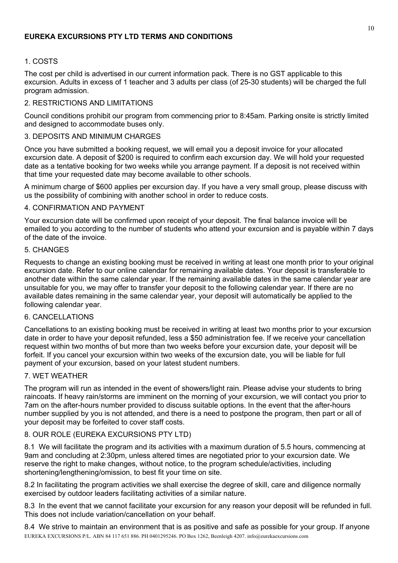# 1. COSTS

The cost per child is advertised in our current information pack. There is no GST applicable to this excursion. Adults in excess of 1 teacher and 3 adults per class (of 25-30 students) will be charged the full program admission.

# 2. RESTRICTIONS AND LIMITATIONS

Council conditions prohibit our program from commencing prior to 8:45am. Parking onsite is strictly limited and designed to accommodate buses only.

# 3. DEPOSITS AND MINIMUM CHARGES

Once you have submitted a booking request, we will email you a deposit invoice for your allocated excursion date. A deposit of \$200 is required to confirm each excursion day. We will hold your requested date as a tentative booking for two weeks while you arrange payment. If a deposit is not received within that time your requested date may become available to other schools.

A minimum charge of \$600 applies per excursion day. If you have a very small group, please discuss with us the possibility of combining with another school in order to reduce costs.

# 4. CONFIRMATION AND PAYMENT

Your excursion date will be confirmed upon receipt of your deposit. The final balance invoice will be emailed to you according to the number of students who attend your excursion and is payable within 7 days of the date of the invoice.

# 5. CHANGES

Requests to change an existing booking must be received in writing at least one month prior to your original excursion date. Refer to our online calendar for remaining available dates. Your deposit is transferable to another date within the same calendar year. If the remaining available dates in the same calendar year are unsuitable for you, we may offer to transfer your deposit to the following calendar year. If there are no available dates remaining in the same calendar year, your deposit will automatically be applied to the following calendar year.

# 6. CANCELLATIONS

Cancellations to an existing booking must be received in writing at least two months prior to your excursion date in order to have your deposit refunded, less a \$50 administration fee. If we receive your cancellation request within two months of but more than two weeks before your excursion date, your deposit will be forfeit. If you cancel your excursion within two weeks of the excursion date, you will be liable for full payment of your excursion, based on your latest student numbers.

# 7. WET WEATHER

The program will run as intended in the event of showers/light rain. Please advise your students to bring raincoats. If heavy rain/storms are imminent on the morning of your excursion, we will contact you prior to 7am on the after-hours number provided to discuss suitable options. In the event that the after-hours number supplied by you is not attended, and there is a need to postpone the program, then part or all of your deposit may be forfeited to cover staff costs.

# 8. OUR ROLE (EUREKA EXCURSIONS PTY LTD)

8.1 We will facilitate the program and its activities with a maximum duration of 5.5 hours, commencing at 9am and concluding at 2:30pm, unless altered times are negotiated prior to your excursion date. We reserve the right to make changes, without notice, to the program schedule/activities, including shortening/lengthening/omission, to best fit your time on site.

8.2 In facilitating the program activities we shall exercise the degree of skill, care and diligence normally exercised by outdoor leaders facilitating activities of a similar nature.

8.3 In the event that we cannot facilitate your excursion for any reason your deposit will be refunded in full. This does not include variation/cancellation on your behalf.

EUREKA EXCURSIONS P/L. ABN 84 117 651 886. PH 0401295246. PO Box 1262, Beenleigh 4207. info@eurekaexcursions.com 8.4 We strive to maintain an environment that is as positive and safe as possible for your group. If anyone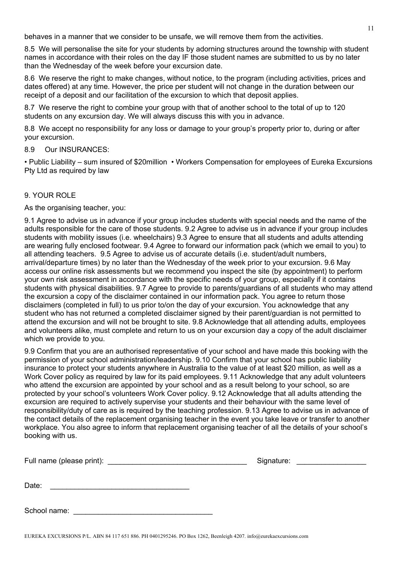behaves in a manner that we consider to be unsafe, we will remove them from the activities.

8.5 We will personalise the site for your students by adorning structures around the township with student names in accordance with their roles on the day IF those student names are submitted to us by no later than the Wednesday of the week before your excursion date.

8.6 We reserve the right to make changes, without notice, to the program (including activities, prices and dates offered) at any time. However, the price per student will not change in the duration between our receipt of a deposit and our facilitation of the excursion to which that deposit applies.

8.7 We reserve the right to combine your group with that of another school to the total of up to 120 students on any excursion day. We will always discuss this with you in advance.

8.8 We accept no responsibility for any loss or damage to your group's property prior to, during or after your excursion.

# 8.9 Our INSURANCES:

• Public Liability – sum insured of \$20million • Workers Compensation for employees of Eureka Excursions Pty Ltd as required by law

# 9. YOUR ROLE

As the organising teacher, you:

9.1 Agree to advise us in advance if your group includes students with special needs and the name of the adults responsible for the care of those students. 9.2 Agree to advise us in advance if your group includes students with mobility issues (i.e. wheelchairs) 9.3 Agree to ensure that all students and adults attending are wearing fully enclosed footwear. 9.4 Agree to forward our information pack (which we email to you) to all attending teachers. 9.5 Agree to advise us of accurate details (i.e. student/adult numbers, arrival/departure times) by no later than the Wednesday of the week prior to your excursion. 9.6 May access our online risk assessments but we recommend you inspect the site (by appointment) to perform your own risk assessment in accordance with the specific needs of your group, especially if it contains students with physical disabilities. 9.7 Agree to provide to parents/guardians of all students who may attend the excursion a copy of the disclaimer contained in our information pack. You agree to return those disclaimers (completed in full) to us prior to/on the day of your excursion. You acknowledge that any student who has not returned a completed disclaimer signed by their parent/guardian is not permitted to attend the excursion and will not be brought to site. 9.8 Acknowledge that all attending adults, employees and volunteers alike, must complete and return to us on your excursion day a copy of the adult disclaimer which we provide to you.

9.9 Confirm that you are an authorised representative of your school and have made this booking with the permission of your school administration/leadership. 9.10 Confirm that your school has public liability insurance to protect your students anywhere in Australia to the value of at least \$20 million, as well as a Work Cover policy as required by law for its paid employees. 9.11 Acknowledge that any adult volunteers who attend the excursion are appointed by your school and as a result belong to your school, so are protected by your school's volunteers Work Cover policy. 9.12 Acknowledge that all adults attending the excursion are required to actively supervise your students and their behaviour with the same level of responsibility/duty of care as is required by the teaching profession. 9.13 Agree to advise us in advance of the contact details of the replacement organising teacher in the event you take leave or transfer to another workplace. You also agree to inform that replacement organising teacher of all the details of your school's booking with us.

| Full name (please print): Full name (please print): | Signature: |
|-----------------------------------------------------|------------|
| Date:                                               |            |
| School name:                                        |            |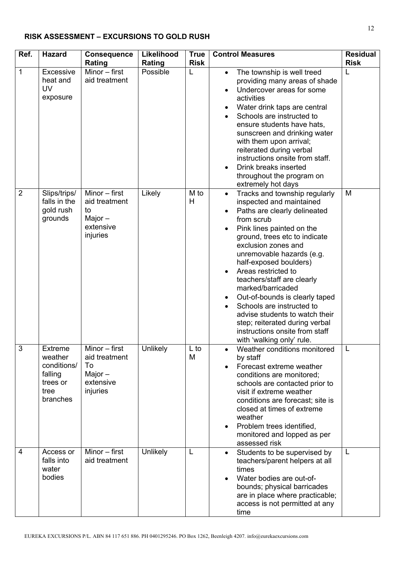# **RISK ASSESSMENT – EXCURSIONS TO GOLD RUSH**

| Ref.           | <b>Hazard</b>                                                                | <b>Consequence</b>                                                           | Likelihood | <b>True</b> | <b>Control Measures</b>                                                                                                                                                                                                                                                                                                                                                                                                                                                                                                                                                                          | <b>Residual</b> |
|----------------|------------------------------------------------------------------------------|------------------------------------------------------------------------------|------------|-------------|--------------------------------------------------------------------------------------------------------------------------------------------------------------------------------------------------------------------------------------------------------------------------------------------------------------------------------------------------------------------------------------------------------------------------------------------------------------------------------------------------------------------------------------------------------------------------------------------------|-----------------|
|                |                                                                              | Rating                                                                       | Rating     | <b>Risk</b> |                                                                                                                                                                                                                                                                                                                                                                                                                                                                                                                                                                                                  | <b>Risk</b>     |
| 1              | Excessive<br>heat and<br><b>UV</b><br>exposure                               | Minor - first<br>aid treatment                                               | Possible   | L           | The township is well treed<br>$\bullet$<br>providing many areas of shade<br>Undercover areas for some<br>$\bullet$<br>activities<br>Water drink taps are central<br>٠<br>Schools are instructed to<br>$\bullet$<br>ensure students have hats,<br>sunscreen and drinking water<br>with them upon arrival;<br>reiterated during verbal<br>instructions onsite from staff.<br>Drink breaks inserted<br>$\bullet$<br>throughout the program on<br>extremely hot days                                                                                                                                 | L               |
| $\overline{2}$ | Slips/trips/<br>falls in the<br>gold rush<br>grounds                         | Minor $-$ first<br>aid treatment<br>to<br>Major $-$<br>extensive<br>injuries | Likely     | M to<br>H   | Tracks and township regularly<br>$\bullet$<br>inspected and maintained<br>Paths are clearly delineated<br>$\bullet$<br>from scrub<br>Pink lines painted on the<br>$\bullet$<br>ground, trees etc to indicate<br>exclusion zones and<br>unremovable hazards (e.g.<br>half-exposed boulders)<br>Areas restricted to<br>$\bullet$<br>teachers/staff are clearly<br>marked/barricaded<br>Out-of-bounds is clearly taped<br>$\bullet$<br>Schools are instructed to<br>advise students to watch their<br>step; reiterated during verbal<br>instructions onsite from staff<br>with 'walking only' rule. | M               |
| 3              | Extreme<br>weather<br>conditions/<br>falling<br>trees or<br>tree<br>branches | Minor – first<br>aid treatment<br>To<br>Major $-$<br>extensive<br>injuries   | Unlikely   | to<br>M     | Weather conditions monitored<br>by staff<br>Forecast extreme weather<br>conditions are monitored;<br>schools are contacted prior to<br>visit if extreme weather<br>conditions are forecast; site is<br>closed at times of extreme<br>weather<br>Problem trees identified,<br>$\bullet$<br>monitored and lopped as per<br>assessed risk                                                                                                                                                                                                                                                           |                 |
| 4              | Access or<br>falls into<br>water<br>bodies                                   | Minor - first<br>aid treatment                                               | Unlikely   | L           | Students to be supervised by<br>$\bullet$<br>teachers/parent helpers at all<br>times<br>Water bodies are out-of-<br>bounds; physical barricades<br>are in place where practicable;<br>access is not permitted at any<br>time                                                                                                                                                                                                                                                                                                                                                                     | L               |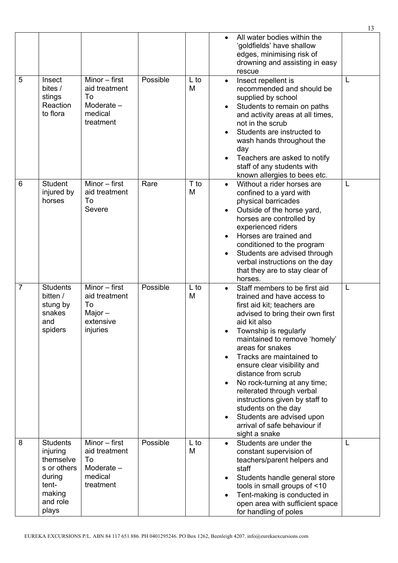|                |                                                                                                           |                                                                              |          |           | All water bodies within the<br>$\bullet$<br>'goldfields' have shallow<br>edges, minimising risk of<br>drowning and assisting in easy<br>rescue                                                                                                                                                                                                                                                                                                                                                                                               |   |
|----------------|-----------------------------------------------------------------------------------------------------------|------------------------------------------------------------------------------|----------|-----------|----------------------------------------------------------------------------------------------------------------------------------------------------------------------------------------------------------------------------------------------------------------------------------------------------------------------------------------------------------------------------------------------------------------------------------------------------------------------------------------------------------------------------------------------|---|
| 5              | Insect<br>bites /<br>stings<br>Reaction<br>to flora                                                       | Minor - first<br>aid treatment<br>To<br>Moderate -<br>medical<br>treatment   | Possible | L to<br>M | Insect repellent is<br>$\bullet$<br>recommended and should be<br>supplied by school<br>Students to remain on paths<br>$\bullet$<br>and activity areas at all times,<br>not in the scrub<br>Students are instructed to<br>wash hands throughout the<br>day<br>Teachers are asked to notify<br>$\bullet$<br>staff of any students with<br>known allergies to bees etc.                                                                                                                                                                         | L |
| 6              | <b>Student</b><br>injured by<br>horses                                                                    | Minor $-$ first<br>aid treatment<br>To<br>Severe                             | Rare     | T to<br>M | Without a rider horses are<br>$\bullet$<br>confined to a yard with<br>physical barricades<br>Outside of the horse yard,<br>$\bullet$<br>horses are controlled by<br>experienced riders<br>Horses are trained and<br>conditioned to the program<br>Students are advised through<br>$\bullet$<br>verbal instructions on the day<br>that they are to stay clear of<br>horses.                                                                                                                                                                   | L |
| $\overline{7}$ | <b>Students</b><br>bitten /<br>stung by<br>snakes<br>and<br>spiders                                       | Minor $-$ first<br>aid treatment<br>To<br>Major $-$<br>extensive<br>injuries | Possible | L to<br>M | Staff members to be first aid<br>trained and have access to<br>first aid kit; teachers are<br>advised to bring their own first<br>aid kit also<br>Township is regularly<br>maintained to remove 'homely'<br>areas for snakes<br>Tracks are maintained to<br>ensure clear visibility and<br>distance from scrub<br>No rock-turning at any time;<br>$\bullet$<br>reiterated through verbal<br>instructions given by staff to<br>students on the day<br>Students are advised upon<br>$\bullet$<br>arrival of safe behaviour if<br>sight a snake | L |
| 8              | <b>Students</b><br>injuring<br>themselve<br>s or others<br>during<br>tent-<br>making<br>and role<br>plays | Minor $-$ first<br>aid treatment<br>To<br>Moderate -<br>medical<br>treatment | Possible | L to<br>M | Students are under the<br>constant supervision of<br>teachers/parent helpers and<br>staff<br>Students handle general store<br>$\bullet$<br>tools in small groups of <10<br>Tent-making is conducted in<br>$\bullet$<br>open area with sufficient space<br>for handling of poles                                                                                                                                                                                                                                                              | L |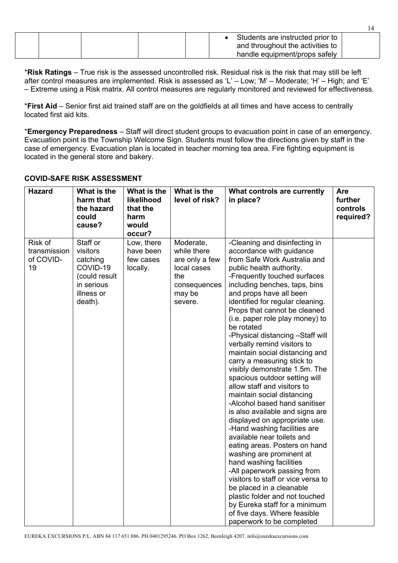|  |  | Students are instructed prior to<br>and throughout the activities to |                               |
|--|--|----------------------------------------------------------------------|-------------------------------|
|  |  |                                                                      |                               |
|  |  |                                                                      | handle equipment/props safely |

\***Risk Ratings** – True risk is the assessed uncontrolled risk. Residual risk is the risk that may still be left after control measures are implemented. Risk is assessed as 'L' – Low; 'M' – Moderate; 'H' – High; and 'E' – Extreme using a Risk matrix. All control measures are regularly monitored and reviewed for effectiveness.

\***First Aid** – Senior first aid trained staff are on the goldfields at all times and have access to centrally located first aid kits.

\***Emergency Preparedness** – Staff will direct student groups to evacuation point in case of an emergency. Evacuation point is the Township Welcome Sign. Students must follow the directions given by staff in the case of emergency. Evacuation plan is located in teacher morning tea area. Fire fighting equipment is located in the general store and bakery.

| <b>Hazard</b>                              | What is the<br>harm that<br>the hazard<br>could<br>cause?                                            | What is the<br>likelihood<br>that the<br>harm<br>would<br>occur? | What is the<br>level of risk?                                                                         | What controls are currently<br>in place?                                                                                                                                                                                                                                                                                                                                                                                                                                                                                                                                                                                                                                                                                                                                                                                                                                                                                                                                                                                                                                                             | Are<br>further<br>controls<br>required? |
|--------------------------------------------|------------------------------------------------------------------------------------------------------|------------------------------------------------------------------|-------------------------------------------------------------------------------------------------------|------------------------------------------------------------------------------------------------------------------------------------------------------------------------------------------------------------------------------------------------------------------------------------------------------------------------------------------------------------------------------------------------------------------------------------------------------------------------------------------------------------------------------------------------------------------------------------------------------------------------------------------------------------------------------------------------------------------------------------------------------------------------------------------------------------------------------------------------------------------------------------------------------------------------------------------------------------------------------------------------------------------------------------------------------------------------------------------------------|-----------------------------------------|
| Risk of<br>transmission<br>of COVID-<br>19 | Staff or<br>visitors<br>catching<br>COVID-19<br>(could result<br>in serious<br>illness or<br>death). | Low, there<br>have been<br>few cases<br>locally.                 | Moderate,<br>while there<br>are only a few<br>local cases<br>the<br>consequences<br>may be<br>severe. | -Cleaning and disinfecting in<br>accordance with guidance<br>from Safe Work Australia and<br>public health authority.<br>-Frequently touched surfaces<br>including benches, taps, bins<br>and props have all been<br>identified for regular cleaning.<br>Props that cannot be cleaned<br>(i.e. paper role play money) to<br>be rotated<br>-Physical distancing -Staff will<br>verbally remind visitors to<br>maintain social distancing and<br>carry a measuring stick to<br>visibly demonstrate 1.5m. The<br>spacious outdoor setting will<br>allow staff and visitors to<br>maintain social distancing<br>-Alcohol based hand sanitiser<br>is also available and signs are<br>displayed on appropriate use.<br>-Hand washing facilities are<br>available near toilets and<br>eating areas. Posters on hand<br>washing are prominent at<br>hand washing facilities<br>-All paperwork passing from<br>visitors to staff or vice versa to<br>be placed in a cleanable<br>plastic folder and not touched<br>by Eureka staff for a minimum<br>of five days. Where feasible<br>paperwork to be completed |                                         |

# **COVID-SAFE RISK ASSESSMENT**